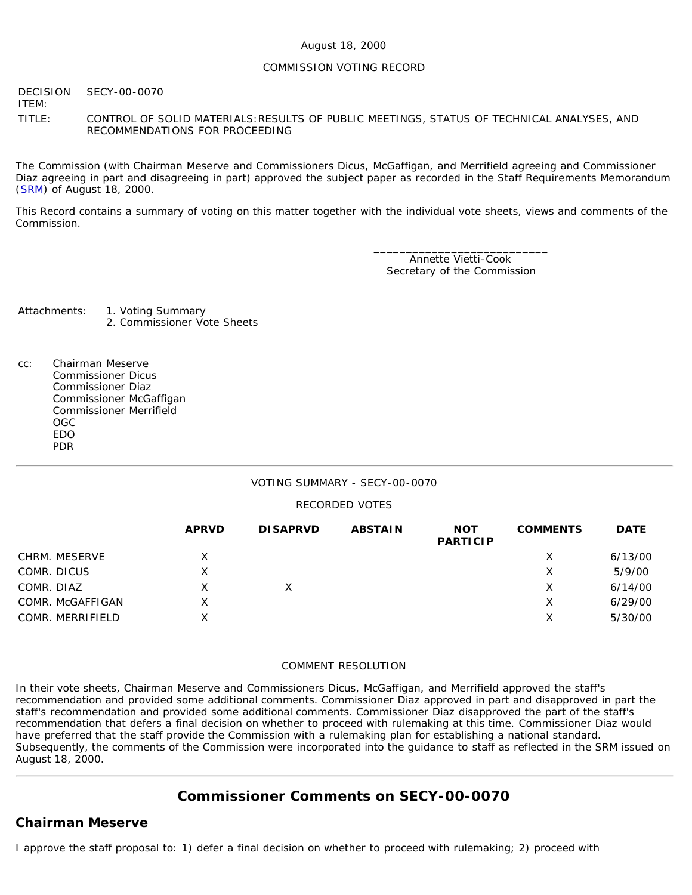#### COMMISSION VOTING RECORD

**DECISION** ITEM: SECY-00-0070 TITLE: CONTROL OF SOLID MATERIALS:RESULTS OF PUBLIC MEETINGS, STATUS OF TECHNICAL ANALYSES, AND RECOMMENDATIONS FOR PROCEEDING

The Commission (with Chairman Meserve and Commissioners Dicus, McGaffigan, and Merrifield agreeing and Commissioner Diaz agreeing in part and disagreeing in part) approved the subject paper as recorded in the Staff Requirements Memorandum ([SRM](http://www.nrc.gov/reading-rm/doc-collections/commission/srm/2000/2000-0070srm.html)) of August 18, 2000.

This Record contains a summary of voting on this matter together with the individual vote sheets, views and comments of the Commission.

> \_\_\_\_\_\_\_\_\_\_\_\_\_\_\_\_\_\_\_\_\_\_\_\_\_\_\_ Annette Vietti-Cook Secretary of the Commission

Attachments: 1. Voting Summary 2. Commissioner Vote Sheets

cc: Chairman Meserve Commissioner Dicus Commissioner Diaz Commissioner McGaffigan Commissioner Merrifield OGC EDO PDR

#### VOTING SUMMARY - SECY-00-0070

#### RECORDED VOTES

|                  | <b>APRVD</b> | <b>DISAPRVD</b> | <b>ABSTAIN</b> | <b>NOT</b><br><b>PARTICIP</b> | <b>COMMENTS</b> | <b>DATE</b> |
|------------------|--------------|-----------------|----------------|-------------------------------|-----------------|-------------|
| CHRM. MESERVE    | X.           |                 |                |                               | х               | 6/13/00     |
| COMR. DICUS      | х            |                 |                |                               | Х               | 5/9/00      |
| COMR. DIAZ       | X            | X.              |                |                               | х               | 6/14/00     |
| COMR. McGAFFIGAN | X            |                 |                |                               | X               | 6/29/00     |
| COMR. MERRIFIELD | Χ            |                 |                |                               | Х               | 5/30/00     |

#### COMMENT RESOLUTION

In their vote sheets, Chairman Meserve and Commissioners Dicus, McGaffigan, and Merrifield approved the staff's recommendation and provided some additional comments. Commissioner Diaz approved in part and disapproved in part the staff's recommendation and provided some additional comments. Commissioner Diaz disapproved the part of the staff's recommendation that defers a final decision on whether to proceed with rulemaking at this time. Commissioner Diaz would have preferred that the staff provide the Commission with a rulemaking plan for establishing a national standard. Subsequently, the comments of the Commission were incorporated into the guidance to staff as reflected in the SRM issued on August 18, 2000.

## **Commissioner Comments on [SECY-00-0070](http://www.nrc.gov/reading-rm/doc-collections/commission/secys/2000/secy2000-0070/2000-0070scy.html)**

#### **Chairman Meserve**

I approve the staff proposal to: 1) defer a final decision on whether to proceed with rulemaking; 2) proceed with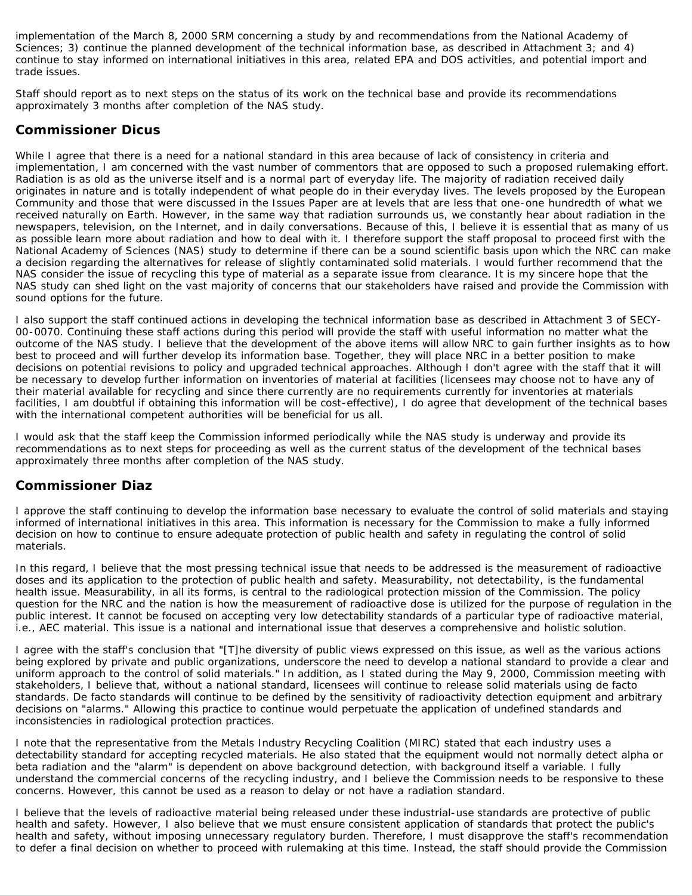implementation of the March 8, 2000 SRM concerning a study by and recommendations from the National Academy of Sciences; 3) continue the planned development of the technical information base, as described in Attachment 3; and 4) continue to stay informed on international initiatives in this area, related EPA and DOS activities, and potential import and trade issues.

Staff should report as to next steps on the status of its work on the technical base and provide its recommendations approximately 3 months after completion of the NAS study.

### **Commissioner Dicus**

While I agree that there is a need for a national standard in this area because of lack of consistency in criteria and implementation, I am concerned with the vast number of commentors that are opposed to such a proposed rulemaking effort. Radiation is as old as the universe itself and is a normal part of everyday life. The majority of radiation received daily originates in nature and is totally independent of what people do in their everyday lives. The levels proposed by the European Community and those that were discussed in the Issues Paper are at levels that are less that one-one hundredth of what we received naturally on Earth. However, in the same way that radiation surrounds us, we constantly hear about radiation in the newspapers, television, on the Internet, and in daily conversations. Because of this, I believe it is essential that as many of us as possible learn more about radiation and how to deal with it. I therefore support the staff proposal to proceed first with the National Academy of Sciences (NAS) study to determine if there can be a sound scientific basis upon which the NRC can make a decision regarding the alternatives for release of slightly contaminated solid materials. I would further recommend that the NAS consider the issue of recycling this type of material as a separate issue from clearance. It is my sincere hope that the NAS study can shed light on the vast majority of concerns that our stakeholders have raised and provide the Commission with sound options for the future.

I also support the staff continued actions in developing the technical information base as described in Attachment 3 of SECY-00-0070. Continuing these staff actions during this period will provide the staff with useful information no matter what the outcome of the NAS study. I believe that the development of the above items will allow NRC to gain further insights as to how best to proceed and will further develop its information base. Together, they will place NRC in a better position to make decisions on potential revisions to policy and upgraded technical approaches. Although I don't agree with the staff that it will be necessary to develop further information on inventories of material at facilities (licensees may choose not to have *any* of their material available for recycling and since there currently are no requirements currently for inventories at materials facilities, I am doubtful if obtaining this information will be cost-effective), I do agree that development of the technical bases with the international competent authorities will be beneficial for us all.

I would ask that the staff keep the Commission informed periodically while the NAS study is underway and provide its recommendations as to next steps for proceeding as well as the current status of the development of the technical bases approximately three months after completion of the NAS study.

### **Commissioner Diaz**

I approve the staff continuing to develop the information base necessary to evaluate the control of solid materials and staying informed of international initiatives in this area. This information is necessary for the Commission to make a fully informed decision on how to continue to ensure adequate protection of public health and safety in regulating the control of solid materials.

In this regard, I believe that the most pressing technical issue that needs to be addressed is the measurement of radioactive doses and its application to the protection of public health and safety. Measurability, not detectability, is the fundamental health issue. Measurability, in all its forms, is central to the radiological protection mission of the Commission. The policy question for the NRC and the nation is how the measurement of radioactive dose is utilized for the purpose of regulation in the public interest. It cannot be focused on accepting very low detectability standards of a particular type of radioactive material, i.e., AEC material. This issue is a national and international issue that deserves a comprehensive and holistic solution.

I agree with the staff's conclusion that "[T]he diversity of public views expressed on this issue, as well as the various actions being explored by private and public organizations, underscore the need to develop a national standard to provide a clear and uniform approach to the control of solid materials." In addition, as I stated during the May 9, 2000, Commission meeting with stakeholders, I believe that, without a national standard, licensees will continue to release solid materials using de facto standards. De facto standards will continue to be defined by the sensitivity of radioactivity detection equipment and arbitrary decisions on "alarms." Allowing this practice to continue would perpetuate the application of undefined standards and inconsistencies in radiological protection practices.

I note that the representative from the Metals Industry Recycling Coalition (MIRC) stated that each industry uses a detectability standard for accepting recycled materials. He also stated that the equipment would not normally detect alpha or beta radiation and the "alarm" is dependent on above background detection, with background itself a variable. I fully understand the commercial concerns of the recycling industry, and I believe the Commission needs to be responsive to these concerns. However, this cannot be used as a reason to delay or not have a radiation standard.

I believe that the levels of radioactive material being released under these industrial-use standards are protective of public health and safety. However, I also believe that we must ensure consistent application of standards that protect the public's health and safety, without imposing unnecessary regulatory burden. Therefore, I must disapprove the staff's recommendation to defer a final decision on whether to proceed with rulemaking at this time. Instead, the staff should provide the Commission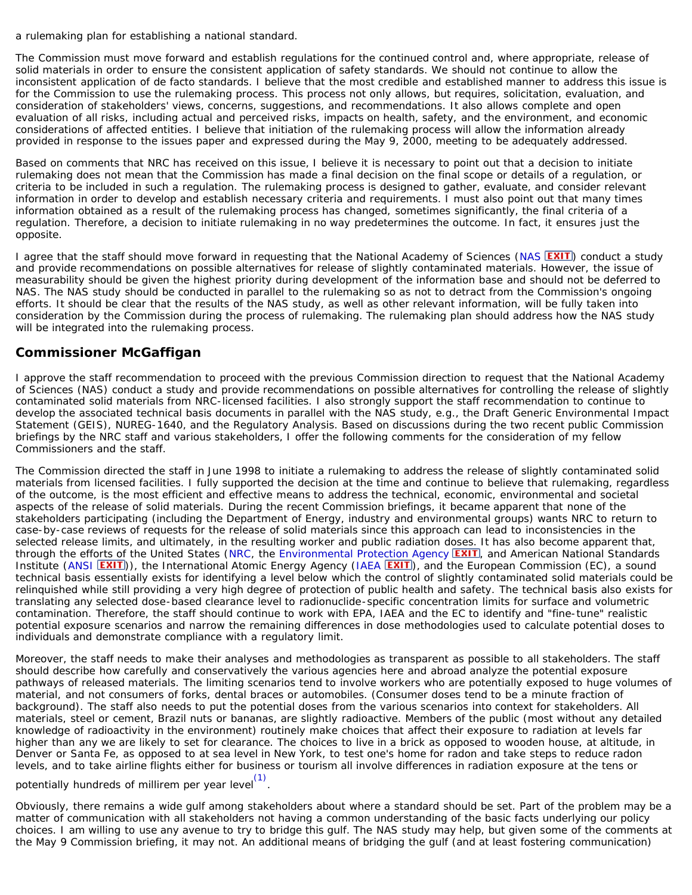a rulemaking plan for establishing a national standard.

The Commission must move forward and establish regulations for the continued control and, where appropriate, release of solid materials in order to ensure the consistent application of safety standards. We should not continue to allow the inconsistent application of de facto standards. I believe that the most credible and established manner to address this issue is for the Commission to use the rulemaking process. This process not only allows, but requires, solicitation, evaluation, and consideration of stakeholders' views, concerns, suggestions, and recommendations. It also allows complete and open evaluation of all risks, including actual and perceived risks, impacts on health, safety, and the environment, and economic considerations of affected entities. I believe that initiation of the rulemaking process will allow the information already provided in response to the issues paper and expressed during the May 9, 2000, meeting to be adequately addressed.

Based on comments that NRC has received on this issue, I believe it is necessary to point out that a decision to initiate rulemaking does not mean that the Commission has made a final decision on the final scope or details of a regulation, or criteria to be included in such a regulation. The rulemaking process is designed to gather, evaluate, and consider relevant information in order to develop and establish necessary criteria and requirements. I must also point out that many times information obtained as a result of the rulemaking process has changed, sometimes significantly, the final criteria of a regulation. Therefore, a decision to initiate rulemaking in no way predetermines the outcome. In fact, it ensures just the opposite.

I agree that the staff should move forward in requesting that the National Academy of Sciences ([NAS](http://www4.nationalacademies.org/nas/nashome.nsf) **EXIT**) conduct a study and provide recommendations on possible alternatives for release of slightly contaminated materials. However, the issue of measurability should be given the highest priority during development of the information base and should not be deferred to NAS. The NAS study should be conducted in parallel to the rulemaking so as not to detract from the Commission's ongoing efforts. It should be clear that the results of the NAS study, as well as other relevant information, will be fully taken into consideration by the Commission during the process of rulemaking. The rulemaking plan should address how the NAS study will be integrated into the rulemaking process.

### **Commissioner McGaffigan**

I approve the staff recommendation to proceed with the previous Commission direction to request that the National Academy of Sciences (NAS) conduct a study and provide recommendations on possible alternatives for controlling the release of slightly contaminated solid materials from NRC-licensed facilities. I also strongly support the staff recommendation to continue to develop the associated technical basis documents in parallel with the NAS study, e.g., the Draft Generic Environmental Impact Statement (GEIS), NUREG-1640, and the Regulatory Analysis. Based on discussions during the two recent public Commission briefings by the NRC staff and various stakeholders, I offer the following comments for the consideration of my fellow Commissioners and the staff.

The Commission directed the staff in June 1998 to initiate a rulemaking to address the release of slightly contaminated solid materials from licensed facilities. I fully supported the decision at the time and continue to believe that rulemaking, regardless of the outcome, is the most efficient and effective means to address the technical, economic, environmental and societal aspects of the release of solid materials. During the recent Commission briefings, it became apparent that none of the stakeholders participating (including the Department of Energy, industry and environmental groups) wants NRC to return to case-by-case reviews of requests for the release of solid materials since this approach can lead to inconsistencies in the selected release limits, and ultimately, in the resulting worker and public radiation doses. It has also become apparent that, through the efforts of the United States ([NRC,](http://www.nrc.gov/) the [Environmental Protection Agency](http://www.epa.gov/) **EXIT**), and American National Standards Institute ([ANSI](http://www.ansi.org/) **EXIT**)), the International Atomic Energy Agency ([IAEA](http://www.iaea.org/) **EXIT**), and the European Commission (EC), a sound technical basis essentially exists for identifying a level below which the control of slightly contaminated solid materials could be relinquished while still providing a very high degree of protection of public health and safety. The technical basis also exists for translating any selected dose-based clearance level to radionuclide-specific concentration limits for surface and volumetric contamination. Therefore, the staff should continue to work with EPA, IAEA and the EC to identify and "fine-tune" realistic potential exposure scenarios and narrow the remaining differences in dose methodologies used to calculate potential doses to individuals and demonstrate compliance with a regulatory limit.

Moreover, the staff needs to make their analyses and methodologies as transparent as possible to all stakeholders. The staff should describe how carefully and conservatively the various agencies here and abroad analyze the potential exposure pathways of released materials. The limiting scenarios tend to involve workers who are potentially exposed to huge volumes of material, and not consumers of forks, dental braces or automobiles. (Consumer doses tend to be a minute fraction of background). The staff also needs to put the potential doses from the various scenarios into context for stakeholders. All materials, steel or cement, Brazil nuts or bananas, are slightly radioactive. Members of the public (most without any detailed knowledge of radioactivity in the environment) routinely make choices that affect their exposure to radiation at levels far higher than any we are likely to set for clearance. The choices to live in a brick as opposed to wooden house, at altitude, in Denver or Santa Fe, as opposed to at sea level in New York, to test one's home for radon and take steps to reduce radon levels, and to take airline flights either for business or tourism all involve differences in radiation exposure at the tens or

# potentially hundreds of millirem per year level $^{(1)}$ .

Obviously, there remains a wide gulf among stakeholders about where a standard should be set. Part of the problem may be a matter of communication with all stakeholders not having a common understanding of the basic facts underlying our policy choices. I am willing to use any avenue to try to bridge this gulf. The NAS study may help, but given some of the comments at the May 9 Commission briefing, it may not. An additional means of bridging the gulf (and at least fostering communication)